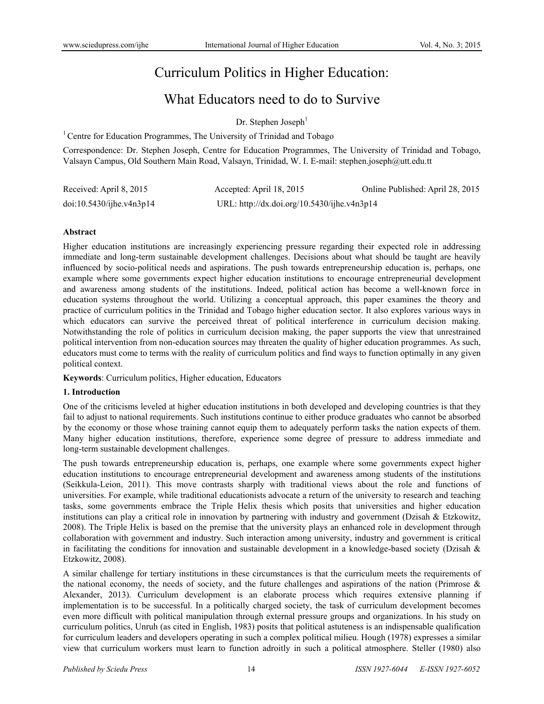# Curriculum Politics in Higher Education:

## What Educators need to do to Survive

## Dr. Stephen Joseph $<sup>1</sup>$ </sup>

<sup>1</sup> Centre for Education Programmes, The University of Trinidad and Tobago

Correspondence: Dr. Stephen Joseph, Centre for Education Programmes, The University of Trinidad and Tobago, Valsayn Campus, Old Southern Main Road, Valsayn, Trinidad, W. I. E-mail: stephen.joseph@utt.edu.tt

| Received: April 8, 2015  | Accepted: April 18, 2015                    | Online Published: April 28, 2015 |
|--------------------------|---------------------------------------------|----------------------------------|
| doi:10.5430/ijhe.v4n3p14 | URL: http://dx.doi.org/10.5430/ijhe.v4n3p14 |                                  |

## **Abstract**

Higher education institutions are increasingly experiencing pressure regarding their expected role in addressing immediate and long-term sustainable development challenges. Decisions about what should be taught are heavily influenced by socio-political needs and aspirations. The push towards entrepreneurship education is, perhaps, one example where some governments expect higher education institutions to encourage entrepreneurial development and awareness among students of the institutions. Indeed, political action has become a well-known force in education systems throughout the world. Utilizing a conceptual approach, this paper examines the theory and practice of curriculum politics in the Trinidad and Tobago higher education sector. It also explores various ways in which educators can survive the perceived threat of political interference in curriculum decision making. Notwithstanding the role of politics in curriculum decision making, the paper supports the view that unrestrained political intervention from non-education sources may threaten the quality of higher education programmes. As such, educators must come to terms with the reality of curriculum politics and find ways to function optimally in any given political context.

**Keywords**: Curriculum politics, Higher education, Educators

## **1. Introduction**

One of the criticisms leveled at higher education institutions in both developed and developing countries is that they fail to adjust to national requirements. Such institutions continue to either produce graduates who cannot be absorbed by the economy or those whose training cannot equip them to adequately perform tasks the nation expects of them. Many higher education institutions, therefore, experience some degree of pressure to address immediate and long-term sustainable development challenges.

The push towards entrepreneurship education is, perhaps, one example where some governments expect higher education institutions to encourage entrepreneurial development and awareness among students of the institutions (Seikkula-Leion, 2011). This move contrasts sharply with traditional views about the role and functions of universities. For example, while traditional educationists advocate a return of the university to research and teaching tasks, some governments embrace the Triple Helix thesis which posits that universities and higher education institutions can play a critical role in innovation by partnering with industry and government (Dzisah & Etzkowitz, 2008). The Triple Helix is based on the premise that the university plays an enhanced role in development through collaboration with government and industry. Such interaction among university, industry and government is critical in facilitating the conditions for innovation and sustainable development in a knowledge-based society (Dzisah  $\&$ Etzkowitz, 2008).

A similar challenge for tertiary institutions in these circumstances is that the curriculum meets the requirements of the national economy, the needs of society, and the future challenges and aspirations of the nation (Primrose  $\&$ Alexander, 2013). Curriculum development is an elaborate process which requires extensive planning if implementation is to be successful. In a politically charged society, the task of curriculum development becomes even more difficult with political manipulation through external pressure groups and organizations. In his study on curriculum politics, Unruh (as cited in English, 1983) posits that political astuteness is an indispensable qualification for curriculum leaders and developers operating in such a complex political milieu. Hough (1978) expresses a similar view that curriculum workers must learn to function adroitly in such a political atmosphere. Steller (1980) also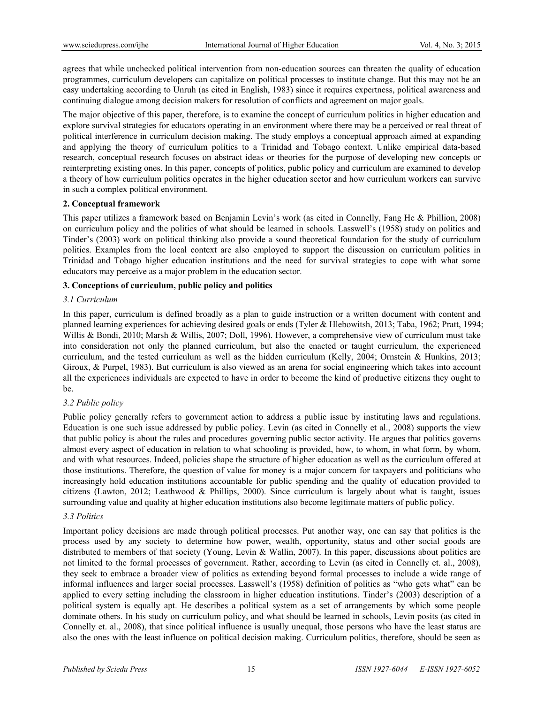agrees that while unchecked political intervention from non-education sources can threaten the quality of education programmes, curriculum developers can capitalize on political processes to institute change. But this may not be an easy undertaking according to Unruh (as cited in English, 1983) since it requires expertness, political awareness and continuing dialogue among decision makers for resolution of conflicts and agreement on major goals.

The major objective of this paper, therefore, is to examine the concept of curriculum politics in higher education and explore survival strategies for educators operating in an environment where there may be a perceived or real threat of political interference in curriculum decision making. The study employs a conceptual approach aimed at expanding and applying the theory of curriculum politics to a Trinidad and Tobago context. Unlike empirical data-based research, conceptual research focuses on abstract ideas or theories for the purpose of developing new concepts or reinterpreting existing ones. In this paper, concepts of politics, public policy and curriculum are examined to develop a theory of how curriculum politics operates in the higher education sector and how curriculum workers can survive in such a complex political environment.

#### **2. Conceptual framework**

This paper utilizes a framework based on Benjamin Levin's work (as cited in Connelly, Fang He & Phillion, 2008) on curriculum policy and the politics of what should be learned in schools. Lasswell's (1958) study on politics and Tinder's (2003) work on political thinking also provide a sound theoretical foundation for the study of curriculum politics. Examples from the local context are also employed to support the discussion on curriculum politics in Trinidad and Tobago higher education institutions and the need for survival strategies to cope with what some educators may perceive as a major problem in the education sector.

#### **3. Conceptions of curriculum, public policy and politics**

#### *3.1 Curriculum*

In this paper, curriculum is defined broadly as a plan to guide instruction or a written document with content and planned learning experiences for achieving desired goals or ends (Tyler & Hlebowitsh, 2013; Taba, 1962; Pratt, 1994; Willis & Bondi, 2010; Marsh & Willis, 2007; Doll, 1996). However, a comprehensive view of curriculum must take into consideration not only the planned curriculum, but also the enacted or taught curriculum, the experienced curriculum, and the tested curriculum as well as the hidden curriculum (Kelly, 2004; Ornstein & Hunkins, 2013; Giroux, & Purpel, 1983). But curriculum is also viewed as an arena for social engineering which takes into account all the experiences individuals are expected to have in order to become the kind of productive citizens they ought to be.

## *3.2 Public policy*

Public policy generally refers to government action to address a public issue by instituting laws and regulations. Education is one such issue addressed by public policy. Levin (as cited in Connelly et al., 2008) supports the view that public policy is about the rules and procedures governing public sector activity. He argues that politics governs almost every aspect of education in relation to what schooling is provided, how, to whom, in what form, by whom, and with what resources. Indeed, policies shape the structure of higher education as well as the curriculum offered at those institutions. Therefore, the question of value for money is a major concern for taxpayers and politicians who increasingly hold education institutions accountable for public spending and the quality of education provided to citizens (Lawton, 2012; Leathwood & Phillips, 2000). Since curriculum is largely about what is taught, issues surrounding value and quality at higher education institutions also become legitimate matters of public policy.

## *3.3 Politics*

Important policy decisions are made through political processes. Put another way, one can say that politics is the process used by any society to determine how power, wealth, opportunity, status and other social goods are distributed to members of that society (Young, Levin & Wallin, 2007). In this paper, discussions about politics are not limited to the formal processes of government. Rather, according to Levin (as cited in Connelly et. al., 2008), they seek to embrace a broader view of politics as extending beyond formal processes to include a wide range of informal influences and larger social processes. Lasswell's (1958) definition of politics as "who gets what" can be applied to every setting including the classroom in higher education institutions. Tinder's (2003) description of a political system is equally apt. He describes a political system as a set of arrangements by which some people dominate others. In his study on curriculum policy, and what should be learned in schools, Levin posits (as cited in Connelly et. al., 2008), that since political influence is usually unequal, those persons who have the least status are also the ones with the least influence on political decision making. Curriculum politics, therefore, should be seen as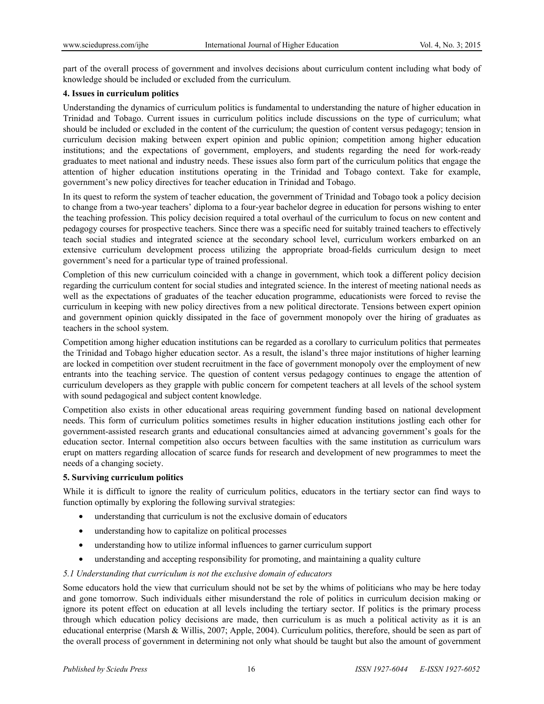part of the overall process of government and involves decisions about curriculum content including what body of knowledge should be included or excluded from the curriculum.

#### **4. Issues in curriculum politics**

Understanding the dynamics of curriculum politics is fundamental to understanding the nature of higher education in Trinidad and Tobago. Current issues in curriculum politics include discussions on the type of curriculum; what should be included or excluded in the content of the curriculum; the question of content versus pedagogy; tension in curriculum decision making between expert opinion and public opinion; competition among higher education institutions; and the expectations of government, employers, and students regarding the need for work-ready graduates to meet national and industry needs. These issues also form part of the curriculum politics that engage the attention of higher education institutions operating in the Trinidad and Tobago context. Take for example, government's new policy directives for teacher education in Trinidad and Tobago.

In its quest to reform the system of teacher education, the government of Trinidad and Tobago took a policy decision to change from a two-year teachers' diploma to a four-year bachelor degree in education for persons wishing to enter the teaching profession. This policy decision required a total overhaul of the curriculum to focus on new content and pedagogy courses for prospective teachers. Since there was a specific need for suitably trained teachers to effectively teach social studies and integrated science at the secondary school level, curriculum workers embarked on an extensive curriculum development process utilizing the appropriate broad-fields curriculum design to meet government's need for a particular type of trained professional.

Completion of this new curriculum coincided with a change in government, which took a different policy decision regarding the curriculum content for social studies and integrated science. In the interest of meeting national needs as well as the expectations of graduates of the teacher education programme, educationists were forced to revise the curriculum in keeping with new policy directives from a new political directorate. Tensions between expert opinion and government opinion quickly dissipated in the face of government monopoly over the hiring of graduates as teachers in the school system.

Competition among higher education institutions can be regarded as a corollary to curriculum politics that permeates the Trinidad and Tobago higher education sector. As a result, the island's three major institutions of higher learning are locked in competition over student recruitment in the face of government monopoly over the employment of new entrants into the teaching service. The question of content versus pedagogy continues to engage the attention of curriculum developers as they grapple with public concern for competent teachers at all levels of the school system with sound pedagogical and subject content knowledge.

Competition also exists in other educational areas requiring government funding based on national development needs. This form of curriculum politics sometimes results in higher education institutions jostling each other for government-assisted research grants and educational consultancies aimed at advancing government's goals for the education sector. Internal competition also occurs between faculties with the same institution as curriculum wars erupt on matters regarding allocation of scarce funds for research and development of new programmes to meet the needs of a changing society.

#### **5. Surviving curriculum politics**

While it is difficult to ignore the reality of curriculum politics, educators in the tertiary sector can find ways to function optimally by exploring the following survival strategies:

- understanding that curriculum is not the exclusive domain of educators
- understanding how to capitalize on political processes
- understanding how to utilize informal influences to garner curriculum support
- understanding and accepting responsibility for promoting, and maintaining a quality culture

#### *5.1 Understanding that curriculum is not the exclusive domain of educators*

Some educators hold the view that curriculum should not be set by the whims of politicians who may be here today and gone tomorrow. Such individuals either misunderstand the role of politics in curriculum decision making or ignore its potent effect on education at all levels including the tertiary sector. If politics is the primary process through which education policy decisions are made, then curriculum is as much a political activity as it is an educational enterprise (Marsh & Willis, 2007; Apple, 2004). Curriculum politics, therefore, should be seen as part of the overall process of government in determining not only what should be taught but also the amount of government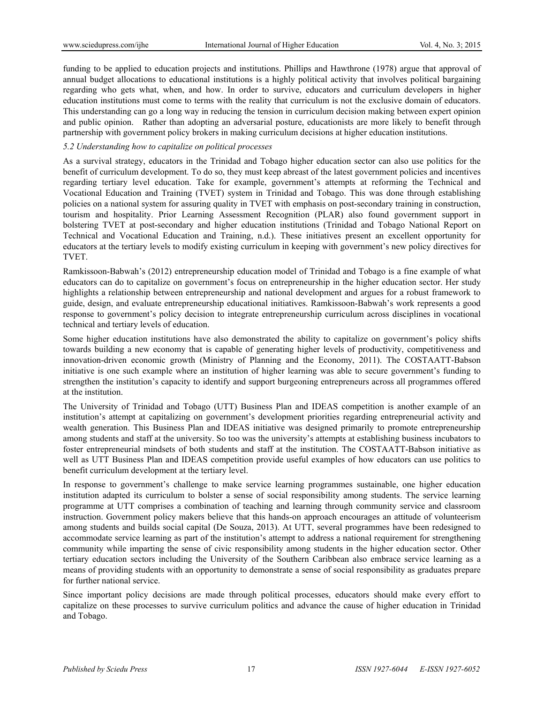funding to be applied to education projects and institutions. Phillips and Hawthrone (1978) argue that approval of annual budget allocations to educational institutions is a highly political activity that involves political bargaining regarding who gets what, when, and how. In order to survive, educators and curriculum developers in higher education institutions must come to terms with the reality that curriculum is not the exclusive domain of educators. This understanding can go a long way in reducing the tension in curriculum decision making between expert opinion and public opinion. Rather than adopting an adversarial posture, educationists are more likely to benefit through partnership with government policy brokers in making curriculum decisions at higher education institutions.

#### *5.2 Understanding how to capitalize on political processes*

As a survival strategy, educators in the Trinidad and Tobago higher education sector can also use politics for the benefit of curriculum development. To do so, they must keep abreast of the latest government policies and incentives regarding tertiary level education. Take for example, government's attempts at reforming the Technical and Vocational Education and Training (TVET) system in Trinidad and Tobago. This was done through establishing policies on a national system for assuring quality in TVET with emphasis on post-secondary training in construction, tourism and hospitality. Prior Learning Assessment Recognition (PLAR) also found government support in bolstering TVET at post-secondary and higher education institutions (Trinidad and Tobago National Report on Technical and Vocational Education and Training, n.d.). These initiatives present an excellent opportunity for educators at the tertiary levels to modify existing curriculum in keeping with government's new policy directives for TVET.

Ramkissoon-Babwah's (2012) entrepreneurship education model of Trinidad and Tobago is a fine example of what educators can do to capitalize on government's focus on entrepreneurship in the higher education sector. Her study highlights a relationship between entrepreneurship and national development and argues for a robust framework to guide, design, and evaluate entrepreneurship educational initiatives. Ramkissoon-Babwah's work represents a good response to government's policy decision to integrate entrepreneurship curriculum across disciplines in vocational technical and tertiary levels of education.

Some higher education institutions have also demonstrated the ability to capitalize on government's policy shifts towards building a new economy that is capable of generating higher levels of productivity, competitiveness and innovation-driven economic growth (Ministry of Planning and the Economy, 2011). The COSTAATT-Babson initiative is one such example where an institution of higher learning was able to secure government's funding to strengthen the institution's capacity to identify and support burgeoning entrepreneurs across all programmes offered at the institution.

The University of Trinidad and Tobago (UTT) Business Plan and IDEAS competition is another example of an institution's attempt at capitalizing on government's development priorities regarding entrepreneurial activity and wealth generation. This Business Plan and IDEAS initiative was designed primarily to promote entrepreneurship among students and staff at the university. So too was the university's attempts at establishing business incubators to foster entrepreneurial mindsets of both students and staff at the institution. The COSTAATT-Babson initiative as well as UTT Business Plan and IDEAS competition provide useful examples of how educators can use politics to benefit curriculum development at the tertiary level.

In response to government's challenge to make service learning programmes sustainable, one higher education institution adapted its curriculum to bolster a sense of social responsibility among students. The service learning programme at UTT comprises a combination of teaching and learning through community service and classroom instruction. Government policy makers believe that this hands-on approach encourages an attitude of volunteerism among students and builds social capital (De Souza, 2013). At UTT, several programmes have been redesigned to accommodate service learning as part of the institution's attempt to address a national requirement for strengthening community while imparting the sense of civic responsibility among students in the higher education sector. Other tertiary education sectors including the University of the Southern Caribbean also embrace service learning as a means of providing students with an opportunity to demonstrate a sense of social responsibility as graduates prepare for further national service.

Since important policy decisions are made through political processes, educators should make every effort to capitalize on these processes to survive curriculum politics and advance the cause of higher education in Trinidad and Tobago.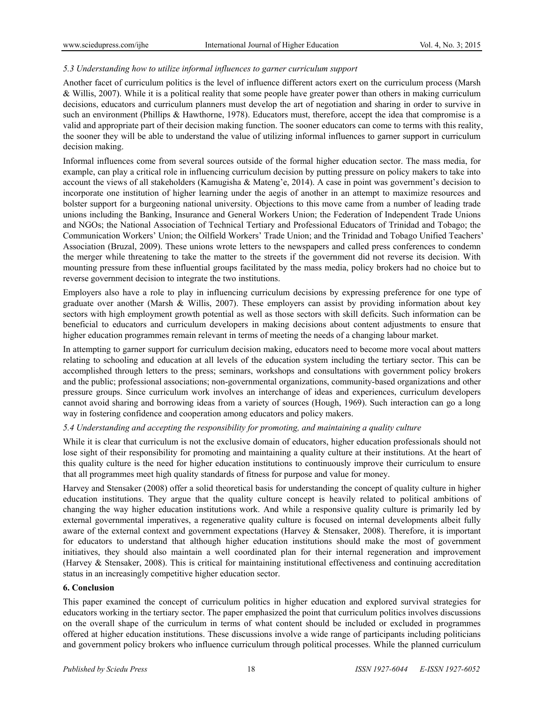## *5.3 Understanding how to utilize informal influences to garner curriculum support*

Another facet of curriculum politics is the level of influence different actors exert on the curriculum process (Marsh & Willis, 2007). While it is a political reality that some people have greater power than others in making curriculum decisions, educators and curriculum planners must develop the art of negotiation and sharing in order to survive in such an environment (Phillips & Hawthorne, 1978). Educators must, therefore, accept the idea that compromise is a valid and appropriate part of their decision making function. The sooner educators can come to terms with this reality, the sooner they will be able to understand the value of utilizing informal influences to garner support in curriculum decision making.

Informal influences come from several sources outside of the formal higher education sector. The mass media, for example, can play a critical role in influencing curriculum decision by putting pressure on policy makers to take into account the views of all stakeholders (Kamugisha & Mateng'e, 2014). A case in point was government's decision to incorporate one institution of higher learning under the aegis of another in an attempt to maximize resources and bolster support for a burgeoning national university. Objections to this move came from a number of leading trade unions including the Banking, Insurance and General Workers Union; the Federation of Independent Trade Unions and NGOs; the National Association of Technical Tertiary and Professional Educators of Trinidad and Tobago; the Communication Workers' Union; the Oilfield Workers' Trade Union; and the Trinidad and Tobago Unified Teachers' Association (Bruzal, 2009). These unions wrote letters to the newspapers and called press conferences to condemn the merger while threatening to take the matter to the streets if the government did not reverse its decision. With mounting pressure from these influential groups facilitated by the mass media, policy brokers had no choice but to reverse government decision to integrate the two institutions.

Employers also have a role to play in influencing curriculum decisions by expressing preference for one type of graduate over another (Marsh & Willis, 2007). These employers can assist by providing information about key sectors with high employment growth potential as well as those sectors with skill deficits. Such information can be beneficial to educators and curriculum developers in making decisions about content adjustments to ensure that higher education programmes remain relevant in terms of meeting the needs of a changing labour market.

In attempting to garner support for curriculum decision making, educators need to become more vocal about matters relating to schooling and education at all levels of the education system including the tertiary sector. This can be accomplished through letters to the press; seminars, workshops and consultations with government policy brokers and the public; professional associations; non-governmental organizations, community-based organizations and other pressure groups. Since curriculum work involves an interchange of ideas and experiences, curriculum developers cannot avoid sharing and borrowing ideas from a variety of sources (Hough, 1969). Such interaction can go a long way in fostering confidence and cooperation among educators and policy makers.

## *5.4 Understanding and accepting the responsibility for promoting, and maintaining a quality culture*

While it is clear that curriculum is not the exclusive domain of educators, higher education professionals should not lose sight of their responsibility for promoting and maintaining a quality culture at their institutions. At the heart of this quality culture is the need for higher education institutions to continuously improve their curriculum to ensure that all programmes meet high quality standards of fitness for purpose and value for money.

Harvey and Stensaker (2008) offer a solid theoretical basis for understanding the concept of quality culture in higher education institutions. They argue that the quality culture concept is heavily related to political ambitions of changing the way higher education institutions work. And while a responsive quality culture is primarily led by external governmental imperatives, a regenerative quality culture is focused on internal developments albeit fully aware of the external context and government expectations (Harvey & Stensaker, 2008). Therefore, it is important for educators to understand that although higher education institutions should make the most of government initiatives, they should also maintain a well coordinated plan for their internal regeneration and improvement (Harvey & Stensaker, 2008). This is critical for maintaining institutional effectiveness and continuing accreditation status in an increasingly competitive higher education sector.

## **6. Conclusion**

This paper examined the concept of curriculum politics in higher education and explored survival strategies for educators working in the tertiary sector. The paper emphasized the point that curriculum politics involves discussions on the overall shape of the curriculum in terms of what content should be included or excluded in programmes offered at higher education institutions. These discussions involve a wide range of participants including politicians and government policy brokers who influence curriculum through political processes. While the planned curriculum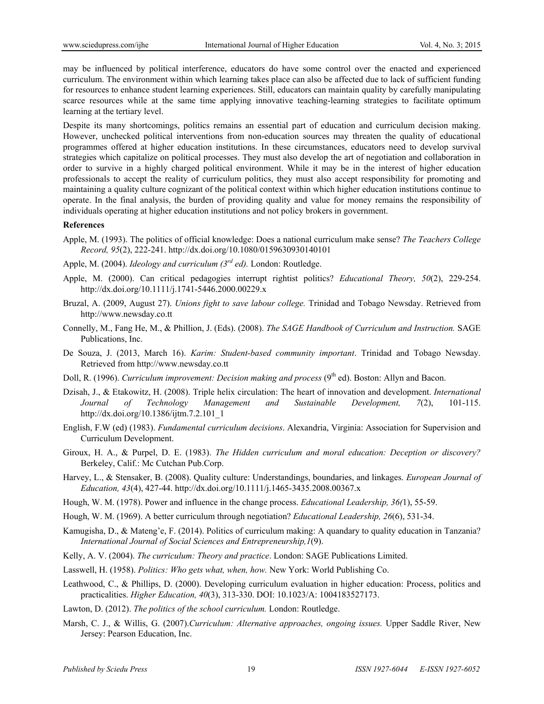may be influenced by political interference, educators do have some control over the enacted and experienced curriculum. The environment within which learning takes place can also be affected due to lack of sufficient funding for resources to enhance student learning experiences. Still, educators can maintain quality by carefully manipulating scarce resources while at the same time applying innovative teaching-learning strategies to facilitate optimum learning at the tertiary level.

Despite its many shortcomings, politics remains an essential part of education and curriculum decision making. However, unchecked political interventions from non-education sources may threaten the quality of educational programmes offered at higher education institutions. In these circumstances, educators need to develop survival strategies which capitalize on political processes. They must also develop the art of negotiation and collaboration in order to survive in a highly charged political environment. While it may be in the interest of higher education professionals to accept the reality of curriculum politics, they must also accept responsibility for promoting and maintaining a quality culture cognizant of the political context within which higher education institutions continue to operate. In the final analysis, the burden of providing quality and value for money remains the responsibility of individuals operating at higher education institutions and not policy brokers in government.

#### **References**

- Apple, M. (1993). The politics of official knowledge: Does a national curriculum make sense? *The Teachers College Record, 95*(2), 222-241. http://dx.doi.org/10.1080/0159630930140101
- Apple, M. (2004). *Ideology and curriculum (3rd ed).* London: Routledge.
- Apple, M. (2000). Can critical pedagogies interrupt rightist politics? *Educational Theory, 50*(2), 229-254. http://dx.doi.org/10.1111/j.1741-5446.2000.00229.x
- Bruzal, A. (2009, August 27). *Unions fight to save labour college.* Trinidad and Tobago Newsday. Retrieved from http://www.newsday.co.tt
- Connelly, M., Fang He, M., & Phillion, J. (Eds). (2008). *The SAGE Handbook of Curriculum and Instruction.* SAGE Publications, Inc.
- De Souza, J. (2013, March 16). *Karim: Student-based community important*. Trinidad and Tobago Newsday. Retrieved from http://www.newsday.co.tt
- Doll, R. (1996). *Curriculum improvement: Decision making and process* (9<sup>th</sup> ed). Boston: Allyn and Bacon.
- Dzisah, J., & Etakowitz, H. (2008). Triple helix circulation: The heart of innovation and development. *International Journal of Technology Management and Sustainable Development, 7*(2), 101-115. http://dx.doi.org/10.1386/ijtm.7.2.101\_1
- English, F.W (ed) (1983). *Fundamental curriculum decisions*. Alexandria, Virginia: Association for Supervision and Curriculum Development.
- Giroux, H. A., & Purpel, D. E. (1983). *The Hidden curriculum and moral education: Deception or discovery?* Berkeley, Calif.: Mc Cutchan Pub.Corp.
- Harvey, L., & Stensaker, B. (2008). Quality culture: Understandings, boundaries, and linkages. *European Journal of Education, 43*(4), 427-44. http://dx.doi.org/10.1111/j.1465-3435.2008.00367.x
- Hough, W. M. (1978). Power and influence in the change process. *Educational Leadership, 36(*1), 55-59.
- Hough, W. M. (1969). A better curriculum through negotiation? *Educational Leadership, 26*(6), 531-34.
- Kamugisha, D., & Mateng'e, F. (2014). Politics of curriculum making: A quandary to quality education in Tanzania? *International Journal of Social Sciences and Entrepreneurship,1*(9).
- Kelly, A. V. (2004). *The curriculum: Theory and practice*. London: SAGE Publications Limited.
- Lasswell, H. (1958). *Politics: Who gets what, when, how.* New York: World Publishing Co.
- Leathwood, C., & Phillips, D. (2000). Developing curriculum evaluation in higher education: Process, politics and practicalities. *Higher Education, 40*(3), 313-330. DOI: 10.1023/A: 1004183527173.
- Lawton, D. (2012). *The politics of the school curriculum.* London: Routledge.
- Marsh, C. J., & Willis, G. (2007).*Curriculum: Alternative approaches, ongoing issues.* Upper Saddle River, New Jersey: Pearson Education, Inc.